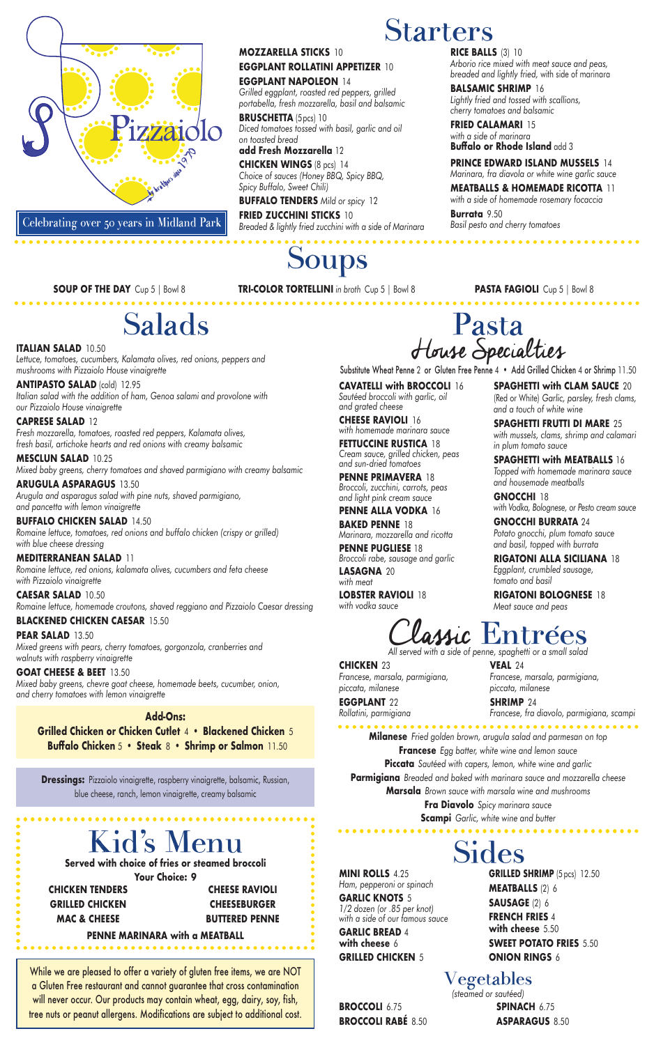### **MOZZARELLA STICKS** 10 **EGGPLANT ROLLATINI APPETIZER** 10 **EGGPLANT NAPOLEON** 14

*Grilled eggplant, roasted red peppers, grilled portabella, fresh mozzarella, basil and balsamic*

**BRUSCHETTA** (5pcs) 10 *Diced tomatoes tossed with basil, garlic and oil on toasted bread*

# **add Fresh Mozzarella** 12

**CHICKEN WINGS** (8 pcs) 14 *Choice of sauces (Honey BBQ, Spicy BBQ, Spicy Buffalo, Sweet Chili)*

**BUFFALO TENDERS** *Mild or spicy* 12 **FRIED ZUCCHINI STICKS** 10 *Breaded & lightly fried zucchini with a side of Marinara*

# **Soups**

**RICE BALLS** (3) 10

*Arborio rice mixed with meat sauce and peas, breaded and lightly fried,* with side of marinara

**BALSAMIC SHRIMP** 16

*Lightly fried and tossed with scallions, cherry tomatoes and balsamic* **FRIED CALAMARI** 15 *with a side of marinara*

**Buffalo or Rhode Island** add 3

**PRINCE EDWARD ISLAND MUSSELS** 14 *Marinara, fra diavola or white wine garlic sauce* **MEATBALLS & HOMEMADE RICOTTA** 11 *with a side of homemade rosemary focaccia*

**Burrata** 9.50

*Basil pesto and cherry tomatoes*

**CAVATELLI with BROCCOLI** 16 *Sautéed broccoli with garlic, oil and grated cheese*

**CHEESE RAVIOLI** 16 *with homemade marinara sauce*

**FETTUCCINE RUSTICA** 18 *Cream sauce, grilled chicken, peas and sun-dried tomatoes*

**PENNE PRIMAVERA** 18 *Broccoli, zucchini, carrots, peas and light pink cream sauce*

**PENNE ALLA VODKA** 16 **BAKED PENNE** 18 *Marinara, mozzarella and ricotta*

**PENNE PUGLIESE** 18 *Broccoli rabe, sausage and garlic* **LASAGNA** 20

*with meat* **LOBSTER RAVIOLI** 18 *with vodka sauce*

**SPAGHETTI with CLAM SAUCE** 20 (Red or White) *Garlic, parsley, fresh clams, and a touch of white wine*

**SPAGHETTI FRUTTI DI MARE** 25 *with mussels, clams, shrimp and calamari in plum tomato sauce*

**SPAGHETTI with MEATBALLS** 16 *Topped with homemade marinara sauce and housemade meatballs*

**GNOCCHI** 18 *with Vodka, Bolognese, or Pesto cream sauce*

**GNOCCHI BURRATA** 24 *Potato gnocchi, plum tomato sauce and basil, topped with burrata*

**RIGATONI ALLA SICILIANA** 18 *Eggplant, crumbled sausage, tomato and basil*

**RIGATONI BOLOGNESE** 18 *Meat sauce and peas*

# Starters

# Salads

**ITALIAN SALAD** 10.50 *Lettuce, tomatoes, cucumbers, Kalamata olives, red onions, peppers and mushrooms with Pizzaiolo House vinaigrette*

**ANTIPASTO SALAD** (cold) 12.95 *Italian salad with the addition of ham, Genoa salami and provolone with our Pizzaiolo House vinaigrette*

**CAPRESE SALAD** 12 *Fresh mozzarella, tomatoes, roasted red peppers, Kalamata olives, fresh basil, artichoke hearts and red onions with creamy balsamic*

**MESCLUN SALAD** 10.25 *Mixed baby greens, cherry tomatoes and shaved parmigiano with creamy balsamic*

**ARUGULA ASPARAGUS** 13.50 *Arugula and asparagus salad with pine nuts, shaved parmigiano, and pancetta with lemon vinaigrette*

**BUFFALO CHICKEN SALAD** 14.50 *Romaine lettuce, tomatoes, red onions and buffalo chicken (crispy or grilled) with blue cheese dressing*

**MEDITERRANEAN SALAD** 11 *Romaine lettuce, red onions, kalamata olives, cucumbers and feta cheese with Pizzaiolo vinaigrette*

**CAESAR SALAD** 10.50 *Romaine lettuce, homemade croutons, shaved reggiano and Pizzaiolo Caesar dressing*

## **BLACKENED CHICKEN CAESAR** 15.50

**PEAR SALAD** 13.50 *Mixed greens with pears, cherry tomatoes, gorgonzola, cranberries and walnuts with raspberry vinaigrette*

## **GOAT CHEESE & BEET** 13.50

*Mixed baby greens, chevre goat cheese, homemade beets, cucumber, onion, and cherry tomatoes with lemon vinaigrette*

**SOUP OF THE DAY** Cup 5 | Bowl 8 **TRI-COLOR TORTELLINI** *in broth* Cup 5 | Bowl 8 **PASTA FAGIOLI** Cup 5 | Bowl 8

# **Add-Ons:**

**Grilled Chicken or Chicken Cutlet** 4 • **Blackened Chicken** 5 **Buffalo Chicken** 5 • **Steak** 8 • **Shrimp or Salmon** 11.50



**Dressings:** Pizzaiolo vinaigrette, raspberry vinaigrette, balsamic, Russian, blue cheese, ranch, lemon vinaigrette, creamy balsamic

# Pasta House Specialties

Substitute Wheat Penne 2 or Gluten Free Penne 4 • Add Grilled Chicken 4 or Shrimp 11.50

**CHICKEN** 23 *Francese, marsala, parmigiana, piccata, milanese*

**EGGPLANT** 22 *Rollatini, parmigiana* **VEAL** 24 *Francese, marsala, parmigiana, piccata, milanese*

**SHRIMP** 24 *Francese, fra diavolo, parmigiana, scampi*

**Milanese** *Fried golden brown, arugula salad and parmesan on top* **Francese** *Egg batter, white wine and lemon sauce* **Piccata** *Sautéed with capers, lemon, white wine and garlic* **Parmigiana** *Breaded and baked with marinara sauce and mozzarella cheese* **Marsala** *Brown sauce with marsala wine and mushrooms*

**Fra Diavolo** *Spicy marinara sauce*

**Scampi** *Garlic, white wine and butter*

**MINI ROLLS** 4.25 *Ham, pepperoni or spinach* **GARLIC KNOTS** 5 *1/2 dozen (or .85 per knot) with a side of our famous sauce* **GARLIC BREAD** 4 **with cheese** 6 **GRILLED CHICKEN** 5

Sides **GRILLED SHRIMP** (5 pcs) 12.50 **MEATBALLS** (2) 6 **SAUSAGE** (2) 6 **FRENCH FRIES** 4 **with cheese** 5.50 **SWEET POTATO FRIES** 5.50 **ONION RINGS** 6

Vegetables *(steamed or sautéed)* **SPINACH** 6.75 **ASPARAGUS** 8.50

**BROCCOLI** 6.75 **BROCCOLI RABÉ** 8.50

#### Kid's Menu **Served with choice of fries or steamed broccoli Your Choice: 9 PENNE MARINARA with a MEATBALL CHICKEN TENDERS GRILLED CHICKEN MAC & CHEESE CHEESE RAVIOLI CHEESEBURGER BUTTERED PENNE**

While we are pleased to offer a variety of gluten free items, we are NOT a Gluten Free restaurant and cannot guarantee that cross contamination will never occur. Our products may contain wheat, egg, dairy, soy, fish, tree nuts or peanut allergens. Modifications are subject to additional cost.



Celebrating over 50 years in Midland Park